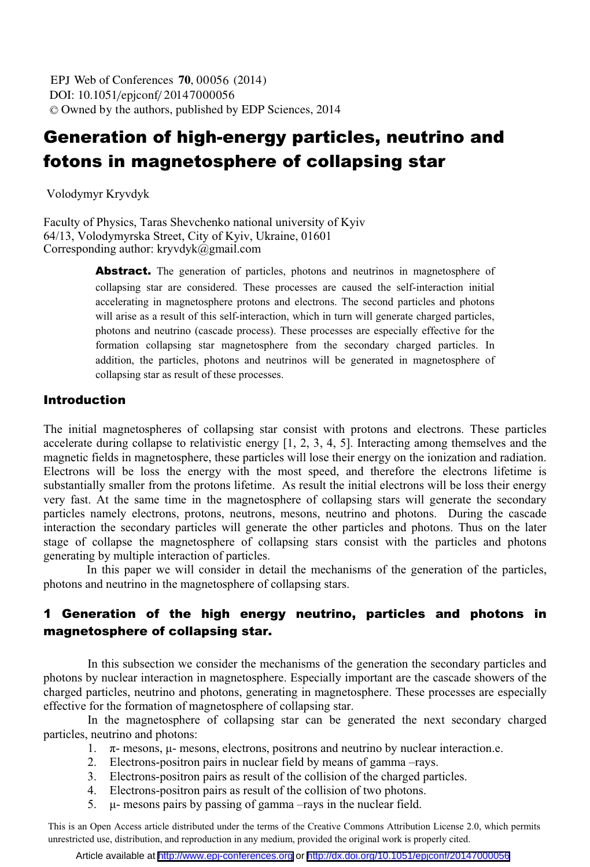DOI: 10.1051/epjconf/ 20147000056 -<sup>C</sup> Owned by the authors, published by EDP Sciences, 2014 EPJ Web of Conferences **70**, 00056 (2014)

# Generation of high-energy particles, neutrino and fotons in magnetosphere of collapsing star

Volodymyr Kryvdyk

Faculty of Physics, Taras Shevchenko national university of Kyiv 64/13, Volodymyrska Street, City of Kyiv, Ukraine, 01601 Corresponding author: kryvdyk@gmail.com

> Abstract. The generation of particles, photons and neutrinos in magnetosphere of collapsing star are considered. These processes are caused the self-interaction initial accelerating in magnetosphere protons and electrons. The second particles and photons will arise as a result of this self-interaction, which in turn will generate charged particles, photons and neutrino (cascade process). These processes are especially effective for the formation collapsing star magnetosphere from the secondary charged particles. In addition, the particles, photons and neutrinos will be generated in magnetosphere of collapsing star as result of these processes.

### Introduction

The initial magnetospheres of collapsing star consist with protons and electrons. These particles accelerate during collapse to relativistic energy [1, 2, 3, 4, 5]. Interacting among themselves and the magnetic fields in magnetosphere, these particles will lose their energy on the ionization and radiation. Electrons will be loss the energy with the most speed, and therefore the electrons lifetime is substantially smaller from the protons lifetime. As result the initial electrons will be loss their energy very fast. At the same time in the magnetosphere of collapsing stars will generate the secondary particles namely electrons, protons, neutrons, mesons, neutrino and photons. During the cascade interaction the secondary particles will generate the other particles and photons. Thus on the later stage of collapse the magnetosphere of collapsing stars consist with the particles and photons generating by multiple interaction of particles.

 In this paper we will consider in detail the mechanisms of the generation of the particles, photons and neutrino in the magnetosphere of collapsing stars.

## 1 Generation of the high energy neutrino, particles and photons in magnetosphere of collapsing star.

In this subsection we consider the mechanisms of the generation the secondary particles and photons by nuclear interaction in magnetosphere. Especially important are the cascade showers of the charged particles, neutrino and photons, generating in magnetosphere. These processes are especially effective for the formation of magnetosphere of collapsing star.

In the magnetosphere of collapsing star can be generated the next secondary charged particles, neutrino and photons:

- 1.  $\pi$  mesons,  $\mu$  mesons, electrons, positrons and neutrino by nuclear interaction.e.
- 2. Electrons-positron pairs in nuclear field by means of gamma –rays.
- 3. Electrons-positron pairs as result of the collision of the charged particles.
- 4. Electrons-positron pairs as result of the collision of two photons.
- 5.  $\mu$ - mesons pairs by passing of gamma –rays in the nuclear field.

This is an Open Access article distributed under the terms of the Creative Commons Attribution License 2.0, which permits unrestricted use, distribution, and reproduction in any medium, provided the original work is properly cited.

Article available at <http://www.epj-conferences.org> or <http://dx.doi.org/10.1051/epjconf/20147000056>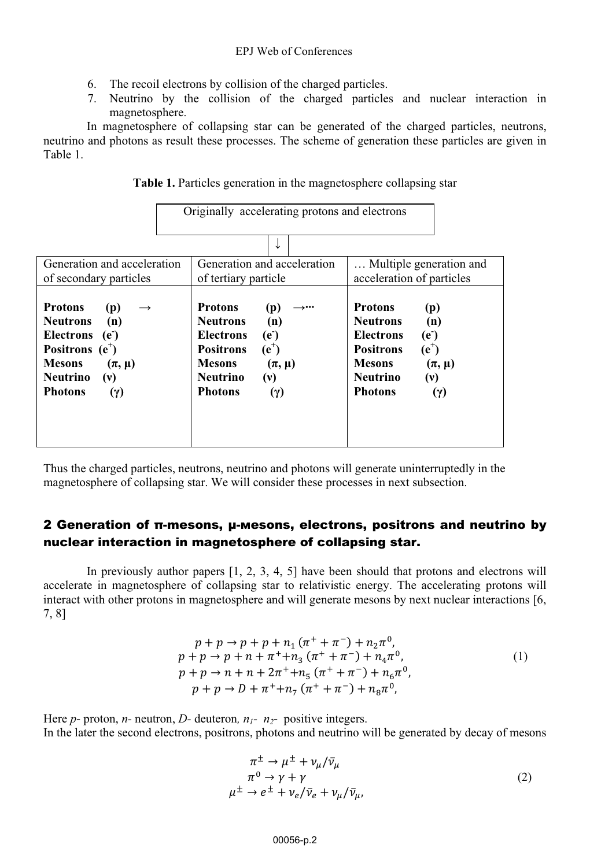- 6. The recoil electrons by collision of the charged particles.
- 7. Neutrino by the collision of the charged particles and nuclear interaction in magnetosphere.

In magnetosphere of collapsing star can be generated of the charged particles, neutrons, neutrino and photons as result these processes. The scheme of generation these particles are given in Table 1.

|  |  | Table 1. Particles generation in the magnetosphere collapsing star |
|--|--|--------------------------------------------------------------------|
|  |  |                                                                    |

|                                                                                                                                                                                                          | Originally accelerating protons and electrons                                                                                                                                                                              |                                                                                                                                                                                                                    |
|----------------------------------------------------------------------------------------------------------------------------------------------------------------------------------------------------------|----------------------------------------------------------------------------------------------------------------------------------------------------------------------------------------------------------------------------|--------------------------------------------------------------------------------------------------------------------------------------------------------------------------------------------------------------------|
|                                                                                                                                                                                                          |                                                                                                                                                                                                                            |                                                                                                                                                                                                                    |
| Generation and acceleration<br>of secondary particles                                                                                                                                                    | Generation and acceleration<br>of tertiary particle                                                                                                                                                                        | Multiple generation and<br>acceleration of particles                                                                                                                                                               |
| <b>Protons</b><br>(p)<br>(n)<br><b>Neutrons</b><br><b>Electrons</b><br>(e <sup>2</sup> )<br>Positrons $(e^+)$<br><b>Mesons</b><br>$(\pi, \mu)$<br><b>Neutrino</b><br>(v)<br><b>Photons</b><br>$(\gamma)$ | <b>Protons</b><br>(p)<br>∸•••<br><b>Neutrons</b><br>(n)<br><b>Electrons</b><br>(e <sup>-</sup> )<br>$(e^+)$<br><b>Positrons</b><br><b>Mesons</b><br>$(\pi, \mu)$<br><b>Neutrino</b><br>(v)<br><b>Photons</b><br>$(\gamma)$ | <b>Protons</b><br>(p)<br><b>Neutrons</b><br>(n)<br><b>Electrons</b><br>(e <sup>2</sup> )<br>$(e^+)$<br><b>Positrons</b><br><b>Mesons</b><br>$(\pi, \mu)$<br><b>Neutrino</b><br>(v)<br><b>Photons</b><br>$(\gamma)$ |

Thus the charged particles, neutrons, neutrino and photons will generate uninterruptedly in the magnetosphere of collapsing star. We will consider these processes in next subsection.

## 2 Generation of π-mesons, μ-mesons, electrons, positrons and neutrino by nuclear interaction in magnetosphere of collapsing star.

In previously author papers [1, 2, 3, 4, 5] have been should that protons and electrons will accelerate in magnetosphere of collapsing star to relativistic energy. The accelerating protons will interact with other protons in magnetosphere and will generate mesons by next nuclear interactions [6, 7, 8]

$$
p + p \to p + p + n_1 (\pi^+ + \pi^-) + n_2 \pi^0,
$$
  
\n
$$
p + p \to p + n + \pi^+ + n_3 (\pi^+ + \pi^-) + n_4 \pi^0,
$$
  
\n
$$
p + p \to n + n + 2\pi^+ + n_5 (\pi^+ + \pi^-) + n_6 \pi^0,
$$
  
\n
$$
p + p \to D + \pi^+ + n_7 (\pi^+ + \pi^-) + n_8 \pi^0,
$$
  
\n(1)

Here *p*- proton, *n*- neutron, *D*- deuteron,  $n_1$ -  $n_2$ - positive integers. In the later the second electrons, positrons, photons and neutrino will be generated by decay of mesons

$$
\pi^{\pm} \to \mu^{\pm} + \nu_{\mu}/\bar{\nu}_{\mu}
$$
\n
$$
\pi^{0} \to \gamma + \gamma
$$
\n
$$
\mu^{\pm} \to e^{\pm} + \nu_{e}/\bar{\nu}_{e} + \nu_{\mu}/\bar{\nu}_{\mu},
$$
\n(2)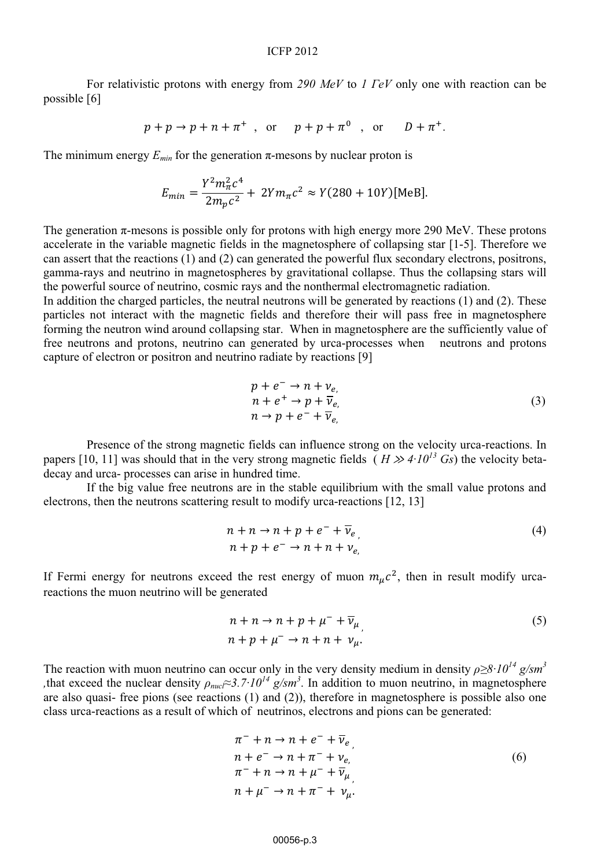For relativistic protons with energy from 290  $MeV$  to 1  $FeV$  only one with reaction can be possible [6]

$$
p+p\rightarrow p+n+\pi^{+}
$$
, or  $p+p+\pi^{0}$ , or  $D+\pi^{+}$ .

The minimum energy  $E_{min}$  for the generation  $\pi$ -mesons by nuclear proton is

$$
E_{min} = \frac{Y^2 m_{\pi}^2 c^4}{2m_{\pi}c^2} + 2Y m_{\pi}c^2 \approx Y(280 + 10Y)[\text{MeB}].
$$

The generation  $\pi$ -mesons is possible only for protons with high energy more 290 MeV. These protons accelerate in the variable magnetic fields in the magnetosphere of collapsing star [1-5]. Therefore we can assert that the reactions  $(1)$  and  $(2)$  can generated the powerful flux secondary electrons, positrons, gamma-rays and neutrino in magnetospheres by gravitational collapse. Thus the collapsing stars will the powerful source of neutrino, cosmic rays and the nonthermal electromagnetic radiation.

In addition the charged particles, the neutral neutrons will be generated by reactions (1) and (2). These particles not interact with the magnetic fields and therefore their will pass free in magnetosphere forming the neutron wind around collapsing star. When in magnetosphere are the sufficiently value of free neutrons and protons, neutrino can generated by urca-processes when neutrons and protons capture of electron or positron and neutrino radiate by reactions [9]

$$
p + e^{-} \rightarrow n + \nu_{e},
$$
  
\n
$$
n + e^{+} \rightarrow p + \overline{\nu}_{e},
$$
  
\n
$$
n \rightarrow p + e^{-} + \overline{\nu}_{e}
$$
\n(3)

Presence of the strong magnetic fields can influence strong on the velocity urca-reactions. In papers [10, 11] was should that in the very strong magnetic fields  $(H \gg 4 \cdot 10^{13} \text{ Gs})$  the velocity betadecay and urca- processes can arise in hundred time.

If the big value free neutrons are in the stable equilibrium with the small value protons and electrons, then the neutrons scattering result to modify urca-reactions [12, 13]

$$
n + n \to n + p + e^- + \overline{\nu}_{e}
$$
  
\n
$$
n + p + e^- \to n + n + \nu_e
$$
 (4)

If Fermi energy for neutrons exceed the rest energy of muon  $m_u c^2$ , then in result modify urcareactions the muon neutrino will be generated

$$
n + n \to n + p + \mu^{-} + \overline{\nu}_{\mu}
$$
  
\n
$$
n + p + \mu^{-} \to n + n + \nu_{\mu}.
$$
\n(5)

The reaction with muon neutrino can occur only in the very density medium in density  $\rho \geq 8 \cdot 10^{14}$  g/sm<sup>3</sup> that exceed the nuclear density  $\rho_{nuc} \approx 3.7 \cdot 10^{14}$  g/sm<sup>3</sup>. In addition to muon neutrino, in magnetosphere are also quasi- free pions (see reactions (1) and (2)), therefore in magnetosphere is possible also one class urca-reactions as a result of which of neutrinos, electrons and pions can be generated:

$$
\pi^{-} + n \rightarrow n + e^{-} + \overline{\nu}_{e},
$$
\n
$$
n + e^{-} \rightarrow n + \pi^{-} + \nu_{e},
$$
\n
$$
\pi^{-} + n \rightarrow n + \mu^{-} + \overline{\nu}_{\mu},
$$
\n
$$
n + \mu^{-} \rightarrow n + \pi^{-} + \nu_{\mu}.
$$
\n(6)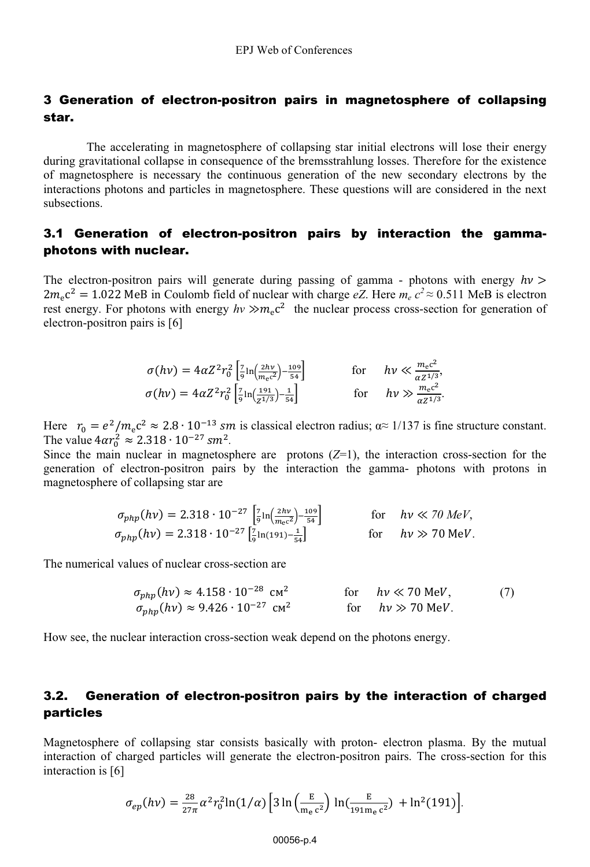## 3 Generation of electron-positron pairs in magnetosphere of collapsing star.

The accelerating in magnetosphere of collapsing star initial electrons will lose their energy during gravitational collapse in consequence of the bremsstrahlung losses. Therefore for the existence of magnetosphere is necessary the continuous generation of the new secondary electrons by the interactions photons and particles in magnetosphere. These questions will are considered in the next subsections.

## 3.1 Generation of electron-positron pairs by interaction the gammaphotons with nuclear.

The electron-positron pairs will generate during passing of gamma - photons with energy  $hv$ The electron-positron pairs will generate during passing of gamma - photons with energy  $hv > 2m_ec^2 = 1.022$  MeB in Coulomb field of nuclear with charge eZ. Here  $m_ec^2 \approx 0.511$  MeB is electron rest energy. For photons with energy  $h v \gg m_e c^2$  the nuclear process cross-section for generation of electron-positron pairs is [6]

$$
\sigma(h\nu) = 4\alpha Z^2 r_0^2 \left[ \frac{7}{9} \ln \left( \frac{2h\nu}{m_e c^2} \right) - \frac{109}{54} \right] \qquad \text{for} \qquad h\nu \ll \frac{m_e c^2}{\alpha Z^{1/3}},
$$
  

$$
\sigma(h\nu) = 4\alpha Z^2 r_0^2 \left[ \frac{7}{9} \ln \left( \frac{191}{Z^{1/3}} \right) - \frac{1}{54} \right] \qquad \text{for} \qquad h\nu \gg \frac{m_e c^2}{\alpha Z^{1/3}}.
$$

Here  $r_0 = e^2/m_e c^2 \approx 2.8 \cdot 10^{-13}$  *sm* is classical electron radius;  $\alpha \approx 1/137$  is fine structure constant. Here  $r_0 = e^2$ <br>The value  $4\alpha r_0^2$  $/m_e c^2 \approx 2.8 \cdot 10^{-13}$  sm<br>  $m_0^2 \approx 2.318 \cdot 10^{-27}$  sm<sup>2</sup>.

Since the main nuclear in magnetosphere are protons  $(Z=1)$ , the interaction cross-section for the generation of electron-positron pairs by the interaction the gamma- photons with protons in magnetosphere of collapsing star are

$$
\sigma_{php}(hv) = 2.318 \cdot 10^{-27} \left[ \frac{7}{9} \ln \left( \frac{2hv}{mc^2} \right) - \frac{109}{54} \right] \quad \text{for} \quad hv \ll 70 \, MeV,
$$
\n
$$
\sigma_{php}(hv) = 2.318 \cdot 10^{-27} \left[ \frac{7}{9} \ln(191) - \frac{1}{54} \right] \quad \text{for} \quad hv \gg 70 \, MeV.
$$

The numerical values of nuclear cross-section are

$$
\sigma_{php}(hv) \approx 4.158 \cdot 10^{-28} \text{ cm}^2 \qquad \text{for} \qquad hv \ll 70 \text{ MeV}, \qquad (7)
$$
  

$$
\sigma_{php}(hv) \approx 9.426 \cdot 10^{-27} \text{ cm}^2 \qquad \text{for} \qquad hv \gg 70 \text{ MeV}.
$$

How see, the nuclear interaction cross-section weak depend on the photons energy.

## 3.2. Generation of electron-positron pairs by the interaction of charged particles

Magnetosphere of collapsing star consists basically with proton- electron plasma. By the mutual interaction of charged particles will generate the electron-positron pairs. The cross-section for this interaction is [6]

$$
\sigma_{ep}(h\nu) = \frac{28}{27\pi} \alpha^2 r_0^2 \ln(1/\alpha) \left[ 3 \ln \left( \frac{E}{m_e c^2} \right) \ln \left( \frac{E}{191 m_e c^2} \right) + \ln^2(191) \right].
$$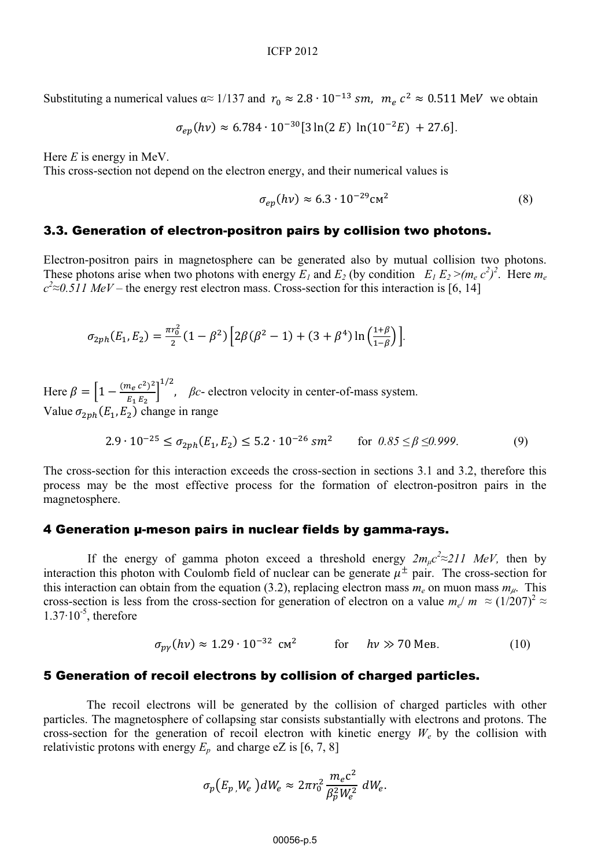Substituting a numerical values  $\alpha \approx 1/137$  and  $r_0 \approx 2.8 \cdot 10^{-13}$  sm,  $m_e c^2 \approx 0.511$  MeV we obtain

$$
\sigma_{ep}(hv) \approx 6.784 \cdot 10^{-30} [3 \ln(2 E) \ln(10^{-2} E) + 27.6].
$$

Here *E* is energy in MeV.

This cross-section not depend on the electron energy, and their numerical values is

$$
\sigma_{ep}(hv) \approx 6.3 \cdot 10^{-29} \text{cm}^2 \tag{8}
$$

### 3.3. Generation of electron-positron pairs by collision two photons.

Electron-positron pairs in magnetosphere can be generated also by mutual collision two photons. These photons arise when two photons with energy  $E_1$  and  $E_2$  (by condition  $E_1 E_2 > (m_e c^2)^2$ . Here  $m_e$  $c^2 \approx 0.511$  MeV – the energy rest electron mass. Cross-section for this interaction is [6, 14]

$$
\sigma_{2ph}(E_1, E_2) = \frac{\pi r_0^2}{2} (1 - \beta^2) \left[ 2\beta(\beta^2 - 1) + (3 + \beta^4) \ln\left(\frac{1 + \beta}{1 - \beta}\right) \right].
$$

Here  $\beta = \left[1 - \frac{(m_e c^2)^2}{E_1 E_2}\right]$ .<br>I  $\beta$ - electron velocity in center-of-mass system. Value  $\sigma_{2ph}(E_1, E_2)$  change in range

$$
2.9 \cdot 10^{-25} \le \sigma_{2ph}(E_1, E_2) \le 5.2 \cdot 10^{-26} \text{ s}m^2 \qquad \text{for } 0.85 \le \beta \le 0.999. \tag{9}
$$

The cross-section for this interaction exceeds the cross-section in sections 3.1 and 3.2, therefore this process may be the most effective process for the formation of electron-positron pairs in the magnetosphere.

### 4 Generation μ-meson pairs in nuclear fields by gamma-rays.

If the energy of gamma photon exceed a threshold energy  $2m_{\mu}c^2 \approx 211$  MeV, then by interaction this photon with Coulomb field of nuclear can be generate  $\mu^{\pm}$  pair. The cross-section for this interaction can obtain from the equation (3.2), replacing electron mass  $m_e$  on muon mass  $m_\mu$ . This cross-section is less from the cross-section for generation of electron on a value  $m_e/m \approx (1/207)^2 \approx$  $1.37 \cdot 10^{-5}$ , therefore

$$
\sigma_{\text{pv}}(h\nu) \approx 1.29 \cdot 10^{-32} \text{ cm}^2 \qquad \text{for} \qquad h\nu \gg 70 \text{ MeB}. \tag{10}
$$

### 5 Generation of recoil electrons by collision of charged particles.

The recoil electrons will be generated by the collision of charged particles with other particles. The magnetosphere of collapsing star consists substantially with electrons and protons. The cross-section for the generation of recoil electron with kinetic energy  $W_e$  by the collision with relativistic protons with energy  $E_p$  and charge eZ is [6, 7, 8]

$$
\sigma_p(E_p, W_e) dW_e \approx 2\pi r_0^2 \frac{m_e c^2}{\beta_p^2 W_e^2} dW_e.
$$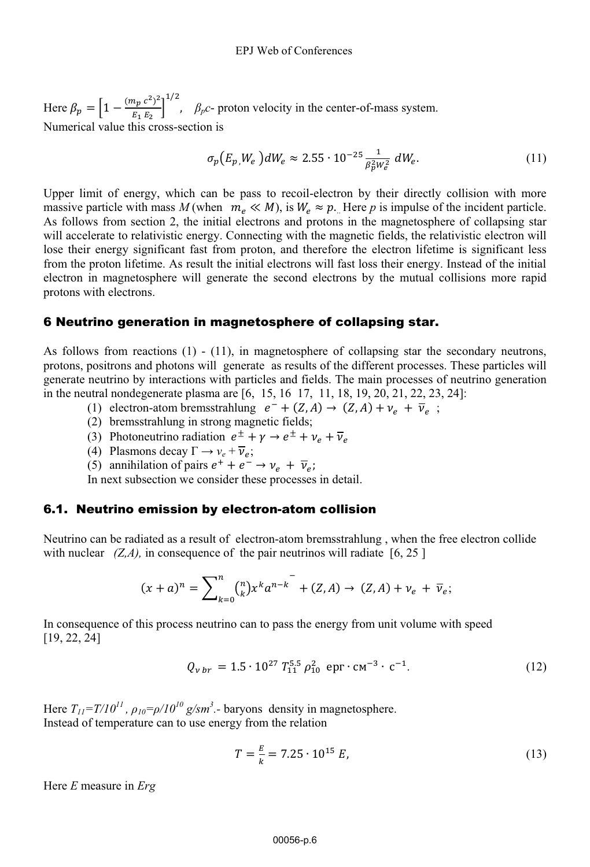Here  $\beta_p = \left[1 - \frac{(m_p c^2)^2}{E F} \right]$ <sub>1</sub>  $\beta_p$ c- proton velocity in the center-of-mass system. Numerical value this cross-section is

$$
\sigma_p(E_p, W_e) dW_e \approx 2.55 \cdot 10^{-25} \frac{1}{\beta_p^2 W_e^2} dW_e.
$$
 (11)

Upper limit of energy, which can be pass to recoil-electron by their directly collision with more .Upper limit of energy, which can be pass to recoil-electron by their directly collision with more massive particle with mass  $M$  (when  $m_e \ll M$ ), is  $W_e \approx p$ . Here *p* is impulse of the incident particle. As follows from section 2, the initial electrons and protons in the magnetosphere of collapsing star will accelerate to relativistic energy. Connecting with the magnetic fields, the relativistic electron will lose their energy significant fast from proton, and therefore the electron lifetime is significant less from the proton lifetime. As result the initial electrons will fast loss their energy. Instead of the initial electron in magnetosphere will generate the second electrons by the mutual collisions more rapid protons with electrons.

### 6 Neutrino generation in magnetosphere of collapsing star.

As follows from reactions (1) - (11), in magnetosphere of collapsing star the secondary neutrons, protons, positrons and photons will generate as results of the different processes. These particles will generate neutrino by interactions with particles and fields. The main processes of neutrino generation in the neutral nondegenerate plasma are [6, 15, 16 17, 11, 18, 19, 20, 21, 22, 23, 24]:

- (1) electron-atom bremsstrahlung  $e^- + (Z, A) \rightarrow (Z, A) + \nu_e + \overline{\nu}_e$ ;
- (2) bremsstrahlung in strong magnetic fields;
- (3) Photoneutrino radiation  $e^{\pm} + \gamma \rightarrow e^{\pm} + \nu_e + \overline{\nu}_e$
- (4) Plasmons decay  $\Gamma \rightarrow v_e + \overline{v}_e$ ;
- (5) annihilation of pairs  $e^+ + e^- \rightarrow \nu_e + \overline{\nu}_e$ ;

In next subsection we consider these processes in detail.

### 6.1. Neutrino emission by electron-atom collision

Neutrino can be radiated as a result of electron-atom bremsstrahlung , when the free electron collide with nuclear  $(Z, A)$ , in consequence of the pair neutrinos will radiate  $[6, 25]$ 

$$
(x+a)^n = \sum_{k=0}^n {n \choose k} x^k a^{n-k} + (Z, A) \to (Z, A) + \nu_e + \overline{\nu}_e;
$$

In consequence of this process neutrino can to pass the energy from unit volume with speed [19, 22, 24]

$$
Q_{v\,br} = 1.5 \cdot 10^{27} T_{11}^{5.5} \rho_{10}^2 \text{ epr} \cdot \text{cm}^{-3} \cdot \text{c}^{-1}.
$$
 (12)

Here  $T_{II} = T/I0^{11}$ ,  $\rho_{10} = \rho/I0^{10}$  g/sm<sup>3</sup>. - baryons density in magnetosphere. Instead of temperature can to use energy from the relation

$$
T = \frac{E}{k} = 7.25 \cdot 10^{15} E,
$$
\n(13)

Here *E* measure in *Erg*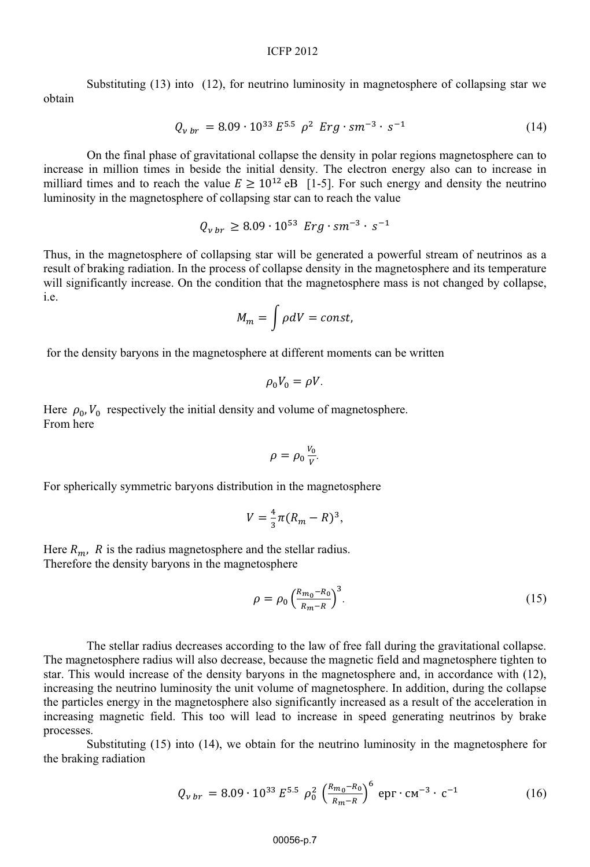#### ICFP 2012

Substituting (13) into (12), for neutrino luminosity in magnetosphere of collapsing star we obtain

$$
Q_{v \, br} = 8.09 \cdot 10^{33} \, E^{5.5} \, \rho^2 \, \text{Erg} \cdot \text{sm}^{-3} \cdot \text{s}^{-1} \tag{14}
$$

On the final phase of gravitational collapse the density in polar regions magnetosphere can to increase in million times in beside the initial density. The electron energy also can to increase in milliard times and to reach the value  $E \ge 10^{12}$  eB [1-5]. For such energy and density the neutrino luminosity in the magnetosphere of collapsing star can to reach the value

$$
Q_{v \, br} \ge 8.09 \cdot 10^{53} \, \text{Erg} \cdot \text{sm}^{-3} \cdot \text{s}^{-1}
$$

Thus, in the magnetosphere of collapsing star will be generated a powerful stream of neutrinos as a result of braking radiation. In the process of collapse density in the magnetosphere and its temperature will significantly increase. On the condition that the magnetosphere mass is not changed by collapse, i.e.

$$
M_m = \int \rho dV = const,
$$

for the density baryons in the magnetosphere at different moments can be written

$$
\rho_0 V_0 = \rho V.
$$

Here  $\rho_0$ ,  $V_0$  respectively the initial density and volume of magnetosphere. From here

$$
\rho = \rho_0 \frac{v_0}{v}.
$$

For spherically symmetric baryons distribution in the magnetosphere

$$
V=\frac{4}{3}\pi (R_m - R)^3,
$$

Here  $R_m$ , R is the radius magnetosphere and the stellar radius. Therefore the density baryons in the magnetosphere

$$
\rho = \rho_0 \left(\frac{R_{m_0} - R_0}{R_m - R}\right)^3.
$$
\n(15)

 The stellar radius decreases according to the law of free fall during the gravitational collapse. The magnetosphere radius will also decrease, because the magnetic field and magnetosphere tighten to star. This would increase of the density baryons in the magnetosphere and, in accordance with (12), increasing the neutrino luminosity the unit volume of magnetosphere. In addition, during the collapse the particles energy in the magnetosphere also significantly increased as a result of the acceleration in increasing magnetic field. This too will lead to increase in speed generating neutrinos by brake processes.

Substituting (15) into (14), we obtain for the neutrino luminosity in the magnetosphere for the braking radiation

$$
Q_{v\,br} = 8.09 \cdot 10^{33} E^{5.5} \rho_0^2 \left(\frac{R_{m_0} - R_0}{R_m - R}\right)^6 \text{ epr} \cdot \text{cm}^{-3} \cdot \text{c}^{-1}
$$
 (16)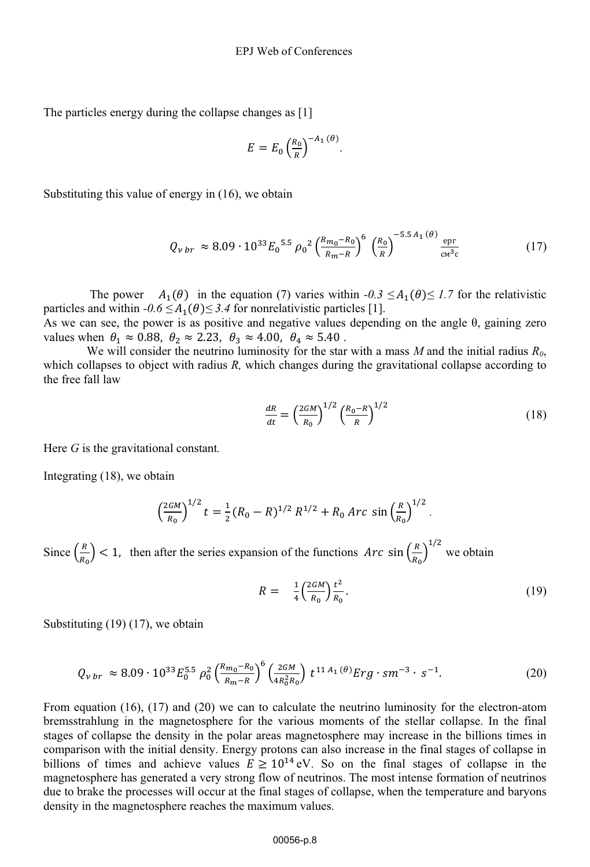The particles energy during the collapse changes as [1]

$$
E = E_0 \left(\frac{R_0}{R}\right)^{-A_1(\theta)}
$$

Substituting this value of energy in (16), we obtain

$$
Q_{v\,br} \approx 8.09 \cdot 10^{33} E_0^{5.5} \rho_0^2 \left(\frac{R_{m_0} - R_0}{R_m - R}\right)^6 \left(\frac{R_0}{R}\right)^{-5.5 A_1(\theta)} \frac{\text{epr}}{\text{cm}^3 \text{c}} \tag{17}
$$

.

The power  $A_1(\theta)$  in the equation (7) varies within *-0.3*  $\leq A_1(\theta) \leq 1.7$  for the relativistic particles and within  $-0.6 \leq A_1(\theta) \leq 3.4$  for nonrelativistic particles [1].

As we can see, the power is as positive and negative values depending on the angle  $\theta$ , gaining zero values when  $\theta_1 \approx 0.88$ ,  $\theta_2 \approx 2.23$ ,  $\theta_3 \approx 4.00$ ,  $\theta_4 \approx 5.40$ .

We will consider the neutrino luminosity for the star with a mass  $M$  and the initial radius  $R_0$ , which collapses to object with radius *R,* which changes during the gravitational collapse according to the free fall law

$$
\frac{dR}{dt} = \left(\frac{2GM}{R_0}\right)^{1/2} \left(\frac{R_0 - R}{R}\right)^{1/2} \tag{18}
$$

Here *G* is the gravitational constant*.* 

Integrating (18), we obtain

$$
\left(\frac{2GM}{R_0}\right)^{1/2} t = \frac{1}{2} (R_0 - R)^{1/2} R^{1/2} + R_0 Arc \sin \left(\frac{R}{R_0}\right)^{1/2}.
$$

Since  $\left(\frac{R}{R_0}\right)$  < 1, then after the series expansion of the functions  $Arc \sin\left(\frac{R}{R_0}\right)$ R $1/2$  we obtain

$$
R = \frac{1}{4} \left( \frac{2GM}{R_0} \right) \frac{t^2}{R_0} \,. \tag{19}
$$

Substituting (19) (17), we obtain

$$
Q_{v\,br} \approx 8.09 \cdot 10^{33} E_0^{5.5} \rho_0^2 \left(\frac{R_{m_0} - R_0}{R_{m} - R}\right)^6 \left(\frac{2GM}{4R_0^2 R_0}\right) t^{11 \, A_1(\theta)} Erg \cdot sm^{-3} \cdot s^{-1}.\tag{20}
$$

From equation (16), (17) and (20) we can to calculate the neutrino luminosity for the electron-atom bremsstrahlung in the magnetosphere for the various moments of the stellar collapse. In the final stages of collapse the density in the polar areas magnetosphere may increase in the billions times in comparison with the initial density. Energy protons can also increase in the final stages of collapse in billions of times and achieve values  $E \ge 10^{14}$  eV. So on the final stages of collapse in the magnetosphere has generated a very strong flow of neutrinos. The most intense formation of neutrinos due to brake the processes will occur at the final stages of collapse, when the temperature and baryons density in the magnetosphere reaches the maximum values.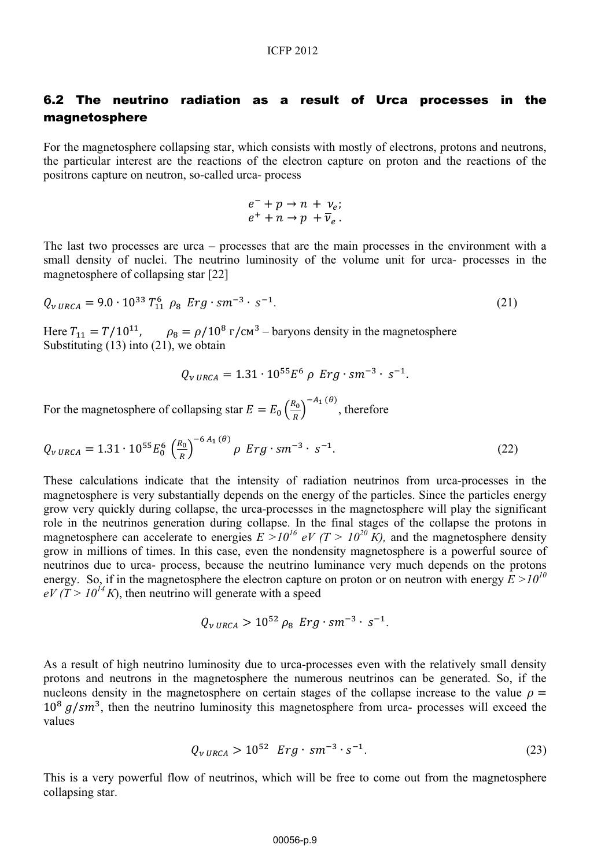## 6.2 The neutrino radiation as a result of Urca processes in the magnetosphere

For the magnetosphere collapsing star, which consists with mostly of electrons, protons and neutrons, the particular interest are the reactions of the electron capture on proton and the reactions of the positrons capture on neutron, so-called urca- process

$$
e^- + p \to n + \nu_e;
$$
  

$$
e^+ + n \to p + \overline{\nu}_e.
$$

The last two processes are urca – processes that are the main processes in the environment with a small density of nuclei. The neutrino luminosity of the volume unit for urca- processes in the magnetosphere of collapsing star [22]

$$
Q_{v \, URCA} = 9.0 \cdot 10^{33} T_{11}^6 \, \rho_8 \, \, Erg \cdot sm^{-3} \cdot s^{-1}.\tag{21}
$$

Here  $T_{11} = T/10^{11}$ ,  $\rho_8 = \rho/10^8$  r/cm<sup>3</sup> – baryons density in the magnetosphere Substituting (13) into (21), we obtain

$$
Q_{v \, URCA} = 1.31 \cdot 10^{55} E^6 \, \rho \, Erg \cdot sm^{-3} \cdot s^{-1}.
$$

For the magnetosphere of collapsing star  $E = E_0 \left(\frac{R_0}{R}\right)^{-A_1(\theta)}$ , therefore

$$
Q_{\nu \, URCA} = 1.31 \cdot 10^{55} E_0^6 \left(\frac{R_0}{R}\right)^{-6 \, A_1 \, (\theta)} \rho \, Erg \cdot sm^{-3} \cdot s^{-1}.
$$

These calculations indicate that the intensity of radiation neutrinos from urca-processes in the magnetosphere is very substantially depends on the energy of the particles. Since the particles energy grow very quickly during collapse, the urca-processes in the magnetosphere will play the significant role in the neutrinos generation during collapse. In the final stages of the collapse the protons in magnetosphere can accelerate to energies  $E \rightarrow 10^{16} eV (T > 10^{20} K)$ , and the magnetosphere density grow in millions of times. In this case, even the nondensity magnetosphere is a powerful source of neutrinos due to urca- process, because the neutrino luminance very much depends on the protons energy. So, if in the magnetosphere the electron capture on proton or on neutron with energy  $\bar{E} > 10^{10}$  $eV(T > 10^{14} K)$ , then neutrino will generate with a speed

$$
Q_{v \, URCA} > 10^{52} \rho_8 \, \, Erg \cdot sm^{-3} \cdot s^{-1}.
$$

As a result of high neutrino luminosity due to urca-processes even with the relatively small density protons and neutrons in the magnetosphere the numerous neutrinos can be generated. So, if the nucleons density in the magnetosphere on certain stages of the collapse increase to the value  $\rho =$  $10^8$   $q/cm^3$ , then the neutrino luminosity this magnetosphere from urca- processes will exceed the values

$$
Q_{v \, URCA} > 10^{52} \, Erg \cdot sm^{-3} \cdot s^{-1}.\tag{23}
$$

This is a very powerful flow of neutrinos, which will be free to come out from the magnetosphere collapsing star.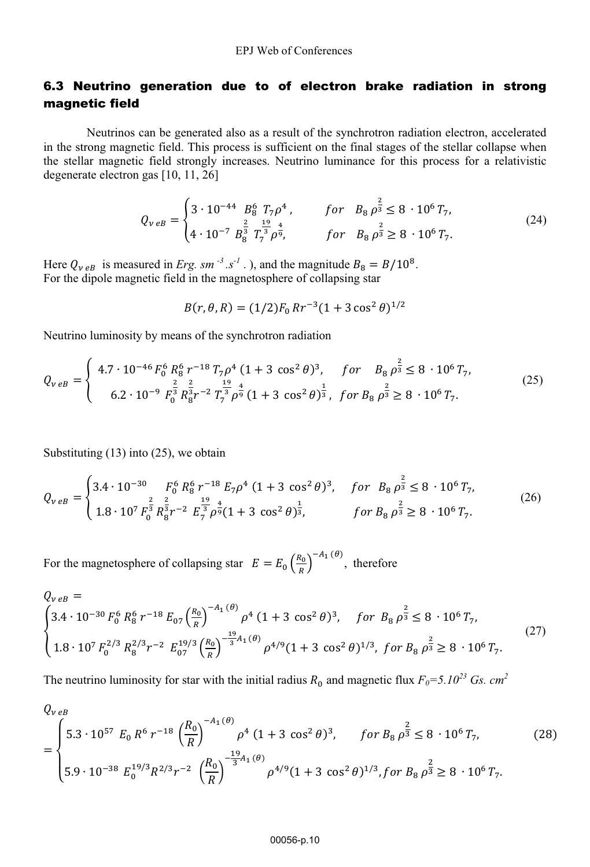## 6.3 Neutrino generation due to of electron brake radiation in strong magnetic field

Neutrinos can be generated also as a result of the synchrotron radiation electron, accelerated in the strong magnetic field. This process is sufficient on the final stages of the stellar collapse when the stellar magnetic field strongly increases. Neutrino luminance for this process for a relativistic degenerate electron gas [10, 11, 26]

$$
Q_{v e B} = \begin{cases} 3 \cdot 10^{-44} & B_8^6 & T_7 \rho^4 \\ 4 \cdot 10^{-7} & B_8^{\frac{2}{3}} & T_7^{\frac{19}{3}} \rho^{\frac{4}{9}}, \end{cases} \qquad \text{for} \quad B_8 \rho^{\frac{2}{3}} \geq 8 \cdot 10^6 \, T_7,\tag{24}
$$

Here  $Q_{v e B}$  is measured in *Erg.* sm<sup>-3</sup>.s<sup>-1</sup>.), and the magnitude  $B_8 = B/10^8$ . For the dipole magnetic field in the magnetosphere of collapsing star

$$
B(r, \theta, R) = (1/2)F_0 R r^{-3} (1 + 3 \cos^2 \theta)^{1/2}
$$

Neutrino luminosity by means of the synchrotron radiation

$$
Q_{v\,eB} = \begin{cases} 4.7 \cdot 10^{-46} F_0^6 R_8^6 r^{-18} T_7 \rho^4 (1+3 \cos^2 \theta)^3, & \text{for} \quad B_8 \rho^{\frac{2}{3}} \le 8 \cdot 10^6 T_7, \\ 6.2 \cdot 10^{-9} F_0^{\frac{2}{3}} R_8^{\frac{2}{3}} r^{-2} T_7^{\frac{19}{3}} \rho^{\frac{4}{9}} (1+3 \cos^2 \theta)^{\frac{1}{3}}, & \text{for} \ B_8 \rho^{\frac{2}{3}} \ge 8 \cdot 10^6 T_7. \end{cases} \tag{25}
$$

Substituting (13) into (25), we obtain

$$
Q_{v\,eB} = \begin{cases} 3.4 \cdot 10^{-30} & F_0^6 \, R_8^6 \, r^{-18} \, E_7 \rho^4 \, (1+3 \, \cos^2 \theta)^3, & \text{for} \, B_8 \, \rho^{\frac{2}{3}} \leq 8 \cdot 10^6 \, T_7, \\ 1.8 \cdot 10^7 \, F_0^{\frac{2}{3}} \, R_8^{\frac{2}{3}} r^{-2} \, E_7^{\frac{19}{3}} \rho^{\frac{4}{9}} (1+3 \, \cos^2 \theta)^{\frac{1}{3}}, & \text{for} \, B_8 \, \rho^{\frac{2}{3}} \geq 8 \cdot 10^6 \, T_7. \end{cases} \tag{26}
$$

For the magnetosphere of collapsing star  $E = E_0 \left(\frac{R_0}{R}\right)^{-A_1(\theta)}$ , therefore

$$
Q_{v e B} =
$$
\n
$$
\begin{cases}\n3.4 \cdot 10^{-30} F_0^6 R_8^6 r^{-18} E_{07} \left(\frac{R_0}{R}\right)^{-A_1(\theta)} \rho^4 (1 + 3 \cos^2 \theta)^3, & \text{for } B_8 \rho^{\frac{2}{3}} \leq 8 \cdot 10^6 T_7, \\
1.8 \cdot 10^7 F_0^{2/3} R_8^{2/3} r^{-2} E_{07}^{19/3} \left(\frac{R_0}{R}\right)^{-\frac{19}{3}A_1(\theta)} \rho^{4/9} (1 + 3 \cos^2 \theta)^{1/3}, & \text{for } B_8 \rho^{\frac{2}{3}} \geq 8 \cdot 10^6 T_7.\n\end{cases}
$$
\n(27)

The neutrino luminosity for star with the initial radius  $R_0$  and magnetic flux  $F_0 = 5.10^{23}$  Gs. cm<sup>2</sup>

$$
Q_{v e B}
$$
\n
$$
= \begin{cases}\n5.3 \cdot 10^{57} \ E_0 \ R^6 \ r^{-18} \left(\frac{R_0}{R}\right)^{-A_1(\theta)} \rho^4 \ (1+3 \cos^2 \theta)^3, & \text{for } B_8 \rho^{\frac{2}{3}} \leq 8 \cdot 10^6 \ T_7, \\
5.9 \cdot 10^{-38} \ E_0^{19/3} R^{2/3} r^{-2} \left(\frac{R_0}{R}\right)^{-\frac{19}{3}A_1(\theta)} \rho^{4/9} (1+3 \cos^2 \theta)^{1/3}, & \text{for } B_8 \rho^{\frac{2}{3}} \geq 8 \cdot 10^6 \ T_7.\n\end{cases}
$$
\n(28)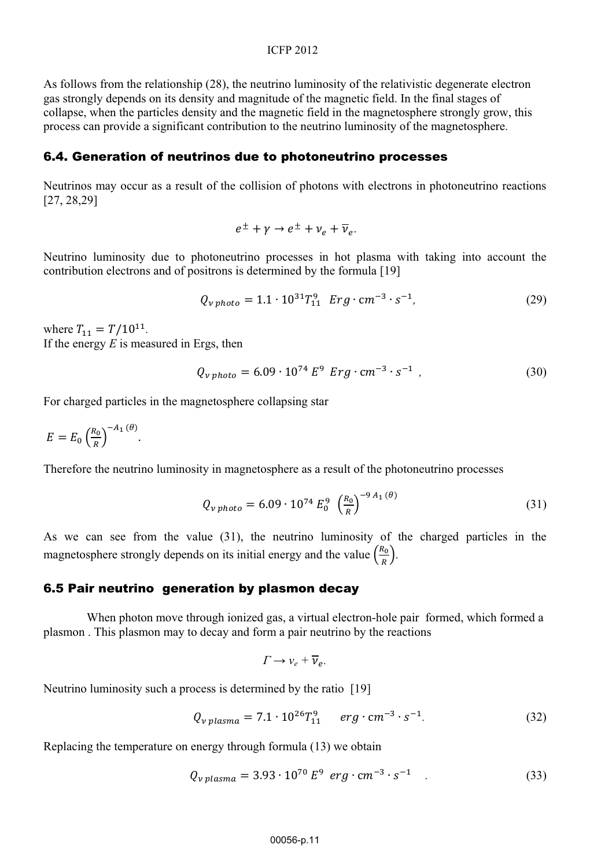As follows from the relationship (28), the neutrino luminosity of the relativistic degenerate electron gas strongly depends on its density and magnitude of the magnetic field. In the final stages of collapse, when the particles density and the magnetic field in the magnetosphere strongly grow, this process can provide a significant contribution to the neutrino luminosity of the magnetosphere.

### 6.4. Generation of neutrinos due to photoneutrino processes

Neutrinos may occur as a result of the collision of photons with electrons in photoneutrino reactions [27, 28,29]

$$
e^{\pm} + \gamma \rightarrow e^{\pm} + \nu_e + \overline{\nu}_e.
$$

Neutrino luminosity due to photoneutrino processes in hot plasma with taking into account the contribution electrons and of positrons is determined by the formula [19]

$$
Q_{v\,photo} = 1.1 \cdot 10^{31} T_{11}^9 \quad Erg \cdot cm^{-3} \cdot s^{-1},\tag{29}
$$

where  $T_{11} = T/10^{11}$ . If the energy *E* is measured in Ergs, then

$$
Q_{v\,photo} = 6.09 \cdot 10^{74} \, E^9 \, Erg \cdot cm^{-3} \cdot s^{-1} \tag{30}
$$

For charged particles in the magnetosphere collapsing star

$$
E = E_0 \left(\frac{R_0}{R}\right)^{-A_1(\theta)}
$$

Therefore the neutrino luminosity in magnetosphere as a result of the photoneutrino processes

$$
Q_{\nu \, photo} = 6.09 \cdot 10^{74} E_0^9 \left(\frac{R_0}{R}\right)^{-9 A_1(\theta)}
$$
\n(31)

As we can see from the value  $(31)$ , the neutrino luminosity of the charged particles in the magnetosphere strongly depends on its initial energy and the value  $\left(\frac{R_0}{R}\right)$ .

### 6.5 Pair neutrino generation by plasmon decay

When photon move through ionized gas, a virtual electron-hole pair formed, which formed a plasmon . This plasmon may to decay and form a pair neutrino by the reactions

$$
\Gamma \to \nu_e + \overline{\nu}_e.
$$

Neutrino luminosity such a process is determined by the ratio [19]

$$
Q_{v \; plasma} = 7.1 \cdot 10^{26} T_{11}^{9} \quad erg \cdot cm^{-3} \cdot s^{-1}.
$$
 (32)

Replacing the temperature on energy through formula (13) we obtain

$$
Q_{v \; plasma} = 3.93 \cdot 10^{70} \; E^9 \; erg \cdot cm^{-3} \cdot s^{-1} \quad . \tag{33}
$$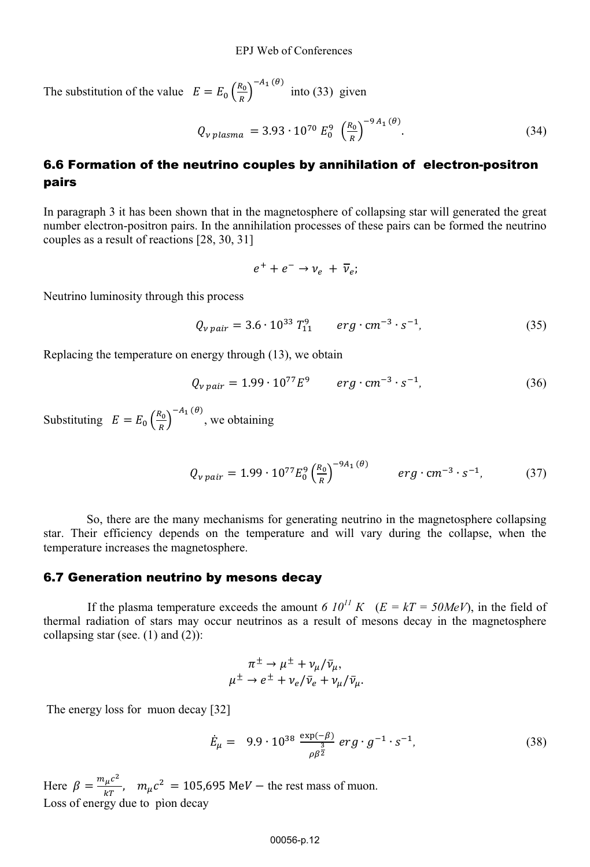The substitution of the value  $E = E_0 \left(\frac{R_0}{R}\right)^{-A_1(\theta)}$  into (33) given

$$
Q_{v \; plasma} = 3.93 \cdot 10^{70} E_0^9 \left(\frac{R_0}{R}\right)^{-9 A_1(\theta)}.
$$
 (34)

## 6.6 Formation of the neutrino couples by annihilation of electron-positron pairs

In paragraph 3 it has been shown that in the magnetosphere of collapsing star will generated the great number electron-positron pairs. In the annihilation processes of these pairs can be formed the neutrino couples as a result of reactions [28, 30, 31]

$$
e^+ + e^- \rightarrow \nu_e + \overline{\nu}_e;
$$

Neutrino luminosity through this process

$$
Q_{v \, pair} = 3.6 \cdot 10^{33} T_{11}^{9} \qquad erg \cdot cm^{-3} \cdot s^{-1}, \tag{35}
$$

Replacing the temperature on energy through (13), we obtain

$$
Q_{v \, pair} = 1.99 \cdot 10^{77} E^9 \qquad \text{erg} \cdot \text{cm}^{-3} \cdot \text{s}^{-1}, \tag{36}
$$

Substituting  $E = E_0 \left(\frac{R_0}{R}\right)^{-A_1(\theta)}$ , we obtaining

$$
Q_{v \, pair} = 1.99 \cdot 10^{77} E_0^9 \left(\frac{R_0}{R}\right)^{-9A_1(\theta)} \qquad \text{erg} \cdot \text{cm}^{-3} \cdot \text{s}^{-1}, \tag{37}
$$

So, there are the many mechanisms for generating neutrino in the magnetosphere collapsing star. Their efficiency depends on the temperature and will vary during the collapse, when the temperature increases the magnetosphere.

### 6.7 Generation neutrino by mesons decay

If the plasma temperature exceeds the amount *6*  $10^{11} K$  ( $E = kT = 50MeV$ ), in the field of thermal radiation of stars may occur neutrinos as a result of mesons decay in the magnetosphere collapsing star (see.  $(1)$  and  $(2)$ ):

$$
\pi^{\pm} \to \mu^{\pm} + \nu_{\mu}/\bar{\nu}_{\mu},
$$
  

$$
\mu^{\pm} \to e^{\pm} + \nu_{e}/\bar{\nu}_{e} + \nu_{\mu}/\bar{\nu}_{\mu}.
$$

The energy loss for muon decay [32]

$$
\dot{E}_{\mu} = 9.9 \cdot 10^{38} \frac{\exp(-\beta)}{\rho \beta^{\frac{3}{2}}} \, erg \cdot g^{-1} \cdot s^{-1}, \tag{38}
$$

Here  $\beta = \frac{m_{\mu}c^2}{kT}$ ,  $m_{\mu}c^2 = 105{,}695 \text{ MeV}$  – the rest mass of muon. Loss of energy due to pìon decay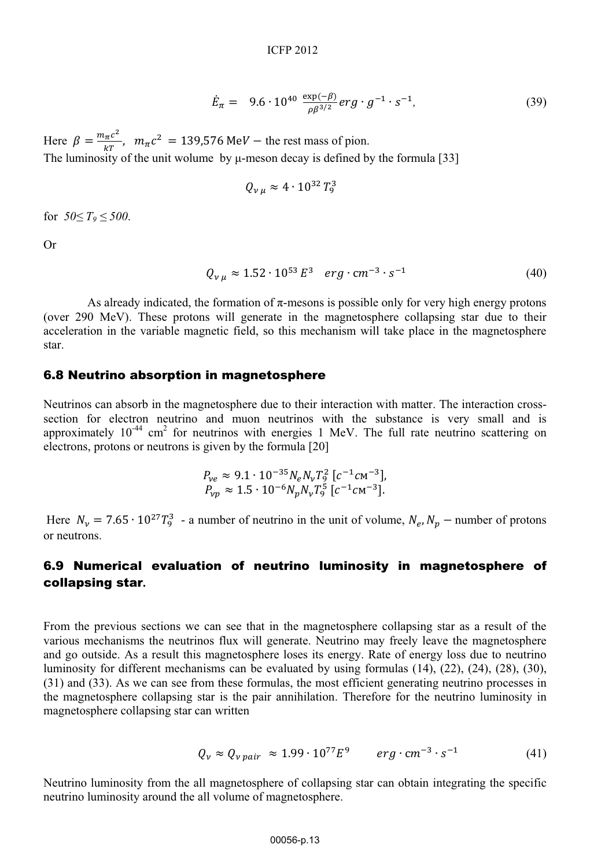$$
\dot{E}_{\pi} = 9.6 \cdot 10^{40} \frac{\exp(-\beta)}{\rho \beta^{3/2}} erg \cdot g^{-1} \cdot s^{-1}, \tag{39}
$$

Here  $\beta = \frac{m_{\pi}c^2}{kT}$ ,  $m_{\pi}c^2 = 139,576 \text{ MeV}$  – the rest mass of pion. The luminosity of the unit wolume by  $\mu$ -meson decay is defined by the formula [33]

$$
Q_{\nu\mu} \approx 4 \cdot 10^{32} T_9^3
$$

for  $50 \le T_9 \le 500$ .

Or

$$
Q_{v\mu} \approx 1.52 \cdot 10^{53} E^3 \quad erg \cdot cm^{-3} \cdot s^{-1} \tag{40}
$$

As already indicated, the formation of  $\pi$ -mesons is possible only for very high energy protons (over 290 MeV). These protons will generate in the magnetosphere collapsing star due to their acceleration in the variable magnetic field, so this mechanism will take place in the magnetosphere star.

### 6.8 Neutrino absorption in magnetosphere

Neutrinos can absorb in the magnetosphere due to their interaction with matter. The interaction crosssection for electron neutrino and muon neutrinos with the substance is very small and is approximately  $10^{-44}$  cm<sup>2</sup> for neutrinos with energies 1 MeV. The full rate neutrino scattering on electrons, protons or neutrons is given by the formula [20]

$$
P_{ve} \approx 9.1 \cdot 10^{-35} N_e N_v T_9^2 [c^{-1} c m^{-3}],
$$
  
\n
$$
P_{vp} \approx 1.5 \cdot 10^{-6} N_p N_v T_9^5 [c^{-1} c m^{-3}].
$$

Here  $N_v = 7.65 \cdot 10^{27} T_9^3$  - a number of neutrino in the unit of volume,  $N_e$ ,  $N_p$  – number of protons or neutrons.

## 6.9 Numerical evaluation of neutrino luminosity in magnetosphere of collapsing star**.**

From the previous sections we can see that in the magnetosphere collapsing star as a result of the various mechanisms the neutrinos flux will generate. Neutrino may freely leave the magnetosphere and go outside. As a result this magnetosphere loses its energy. Rate of energy loss due to neutrino luminosity for different mechanisms can be evaluated by using formulas (14), (22), (24), (28), (30), (31) and (33). As we can see from these formulas, the most efficient generating neutrino processes in the magnetosphere collapsing star is the pair annihilation. Therefore for the neutrino luminosity in magnetosphere collapsing star can written

$$
Q_v \approx Q_{v \, pair} \approx 1.99 \cdot 10^{77} E^9 \qquad \text{erg} \cdot \text{cm}^{-3} \cdot \text{s}^{-1} \tag{41}
$$

Neutrino luminosity from the all magnetosphere of collapsing star can obtain integrating the specific neutrino luminosity around the all volume of magnetosphere.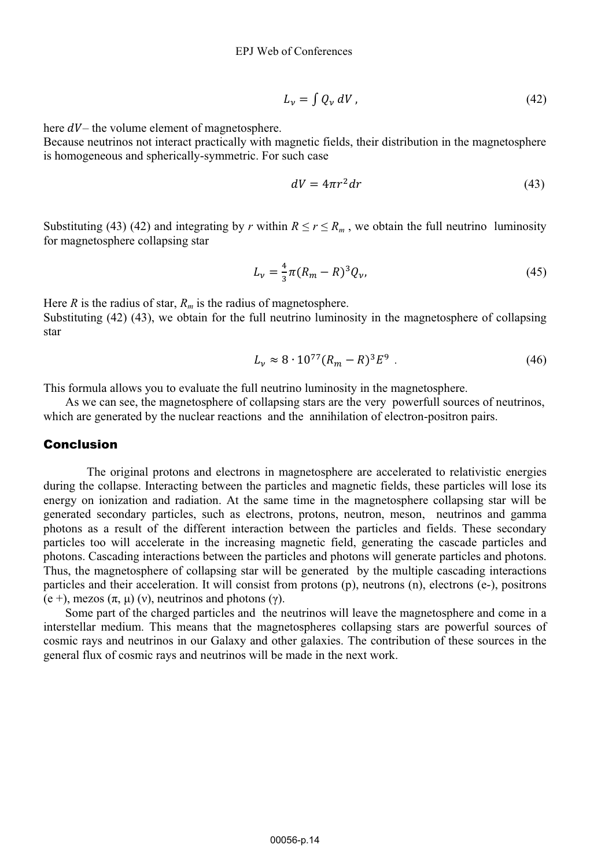$$
L_{\nu} = \int Q_{\nu} \, dV \,, \tag{42}
$$

here  $dV$ – the volume element of magnetosphere.

Because neutrinos not interact practically with magnetic fields, their distribution in the magnetosphere is homogeneous and spherically-symmetric. For such case

$$
dV = 4\pi r^2 dr \tag{43}
$$

Substituting (43) (42) and integrating by *r* within  $R \le r \le R_m$ , we obtain the full neutrino luminosity for magnetosphere collapsing star

$$
L_{\nu} = \frac{4}{3}\pi (R_m - R)^3 Q_{\nu},
$$
\n(45)

Here *R* is the radius of star,  $R_m$  is the radius of magnetosphere. Substituting (42) (43), we obtain for the full neutrino luminosity in the magnetosphere of collapsing star

$$
L_v \approx 8 \cdot 10^{77} (R_m - R)^3 E^9 \tag{46}
$$

This formula allows you to evaluate the full neutrino luminosity in the magnetosphere.

As we can see, the magnetosphere of collapsing stars are the very powerfull sources of neutrinos, which are generated by the nuclear reactions and the annihilation of electron-positron pairs.

### Conclusion

The original protons and electrons in magnetosphere are accelerated to relativistic energies during the collapse. Interacting between the particles and magnetic fields, these particles will lose its energy on ionization and radiation. At the same time in the magnetosphere collapsing star will be generated secondary particles, such as electrons, protons, neutron, meson, neutrinos and gamma photons as a result of the different interaction between the particles and fields. These secondary particles too will accelerate in the increasing magnetic field, generating the cascade particles and photons. Cascading interactions between the particles and photons will generate particles and photons. Thus, the magnetosphere of collapsing star will be generated by the multiple cascading interactions particles and their acceleration. It will consist from protons (p), neutrons (n), electrons (e-), positrons (e +), mezos  $(\pi, \mu)$  (v), neutrinos and photons ( $\gamma$ ).

Some part of the charged particles and the neutrinos will leave the magnetosphere and come in a interstellar medium. This means that the magnetospheres collapsing stars are powerful sources of cosmic rays and neutrinos in our Galaxy and other galaxies. The contribution of these sources in the general flux of cosmic rays and neutrinos will be made in the next work.